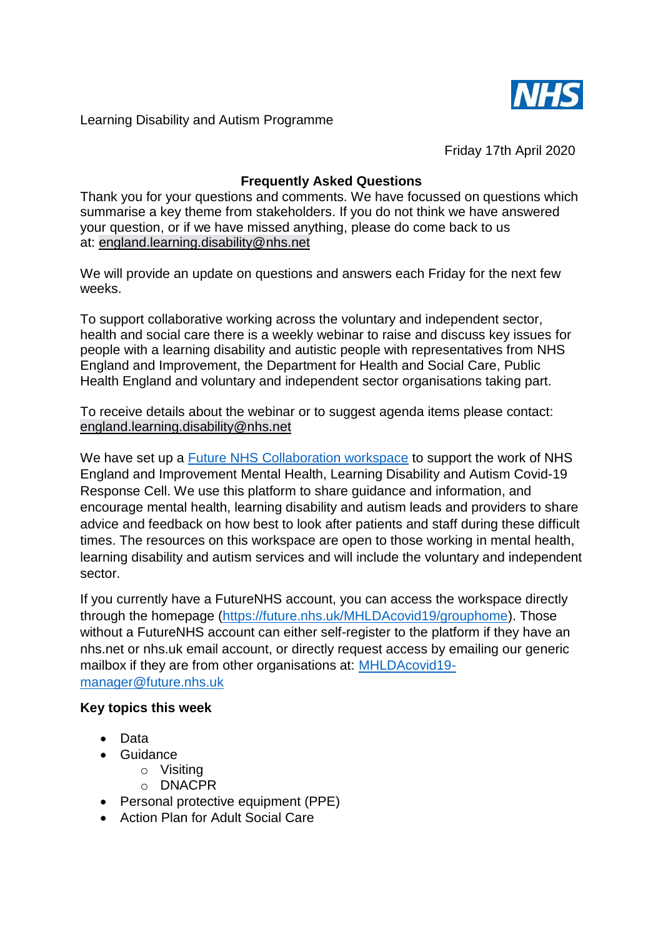

Learning Disability and Autism Programme

Friday 17th April 2020

# **Frequently Asked Questions**

Thank you for your questions and comments. We have focussed on questions which summarise a key theme from stakeholders. If you do not think we have answered your question, or if we have missed anything, please do come back to us at: england.learning.disability@nhs.net

We will provide an update on questions and answers each Friday for the next few weeks.

To support collaborative working across the voluntary and independent sector, health and social care there is a weekly webinar to raise and discuss key issues for people with a learning disability and autistic people with representatives from NHS England and Improvement, the Department for Health and Social Care, Public Health England and voluntary and independent sector organisations taking part.

To receive details about the webinar or to suggest agenda items please contact: england.learning.disability@nhs.net

We have set up a [Future NHS Collaboration workspace](https://future.nhs.uk/MHLDAcovid19/groupHome) to support the work of NHS England and Improvement Mental Health, Learning Disability and Autism Covid-19 Response Cell. We use this platform to share guidance and information, and encourage mental health, learning disability and autism leads and providers to share advice and feedback on how best to look after patients and staff during these difficult times. The resources on this workspace are open to those working in mental health, learning disability and autism services and will include the voluntary and independent sector.

If you currently have a FutureNHS account, you can access the workspace directly through the homepage [\(https://future.nhs.uk/MHLDAcovid19/grouphome\)](https://future.nhs.uk/MHLDAcovid19/grouphome). Those without a FutureNHS account can either self-register to the platform if they have an nhs.net or nhs.uk email account, or directly request access by emailing our generic mailbox if they are from other organisations at: [MHLDAcovid19](mailto:MHLDAcovid19-manager@future.nhs.uk) [manager@future.nhs.uk](mailto:MHLDAcovid19-manager@future.nhs.uk)

# **Key topics this week**

- Data
- Guidance
	- o Visiting
		- o DNACPR
- Personal protective equipment (PPE)
- Action Plan for Adult Social Care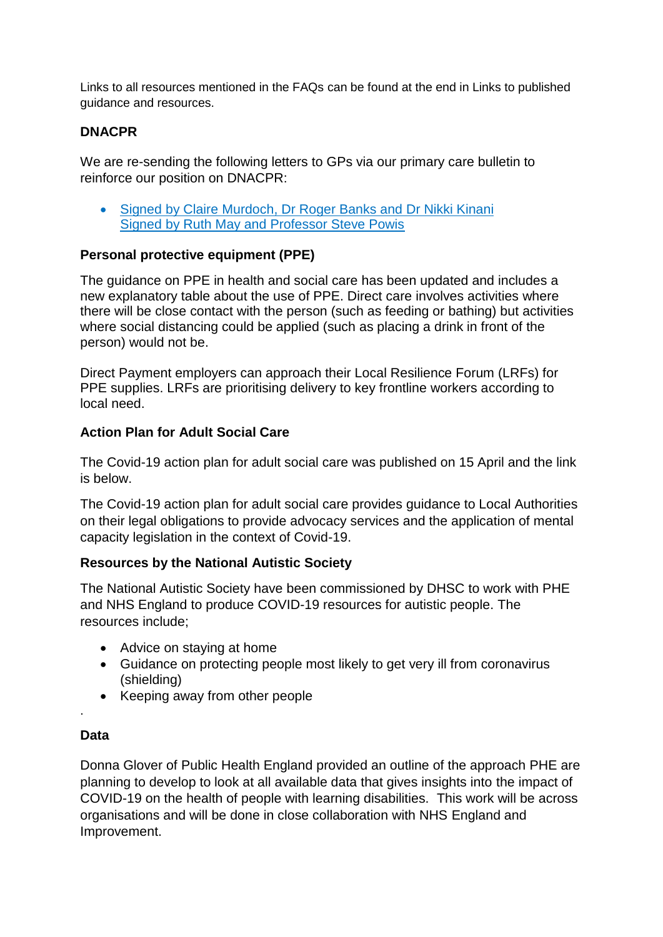Links to all resources mentioned in the FAQs can be found at the end in Links to published guidance and resources.

# **DNACPR**

We are re-sending the following letters to GPs via our primary care bulletin to reinforce our position on DNACPR:

• Signed by Claire Murdoch, Dr [Roger Banks and Dr Nikki Kinani](https://www.england.nhs.uk/coronavirus/wp-content/uploads/sites/52/2020/04/C0166-Letter-DNACPR.pdf) [Signed by Ruth May and Professor Steve Powis](https://www.england.nhs.uk/coronavirus/wp-content/uploads/sites/52/2020/04/maintaining-standards-quality-of-care-pressurised-circumstances-7-april-2020.pdf)

### **Personal protective equipment (PPE)**

The guidance on PPE in health and social care has been updated and includes a new explanatory table about the use of PPE. Direct care involves activities where there will be close contact with the person (such as feeding or bathing) but activities where social distancing could be applied (such as placing a drink in front of the person) would not be.

Direct Payment employers can approach their Local Resilience Forum (LRFs) for PPE supplies. LRFs are prioritising delivery to key frontline workers according to local need.

#### **Action Plan for Adult Social Care**

The Covid-19 action plan for adult social care was published on 15 April and the link is below.

The Covid-19 action plan for adult social care provides guidance to Local Authorities on their legal obligations to provide advocacy services and the application of mental capacity legislation in the context of Covid-19.

# **Resources by the National Autistic Society**

The National Autistic Society have been commissioned by DHSC to work with PHE and NHS England to produce COVID-19 resources for autistic people. The resources include;

- Advice on staying at home
- Guidance on protecting people most likely to get very ill from coronavirus (shielding)
- Keeping away from other people

# **Data**

.

Donna Glover of Public Health England provided an outline of the approach PHE are planning to develop to look at all available data that gives insights into the impact of COVID-19 on the health of people with learning disabilities. This work will be across organisations and will be done in close collaboration with NHS England and Improvement.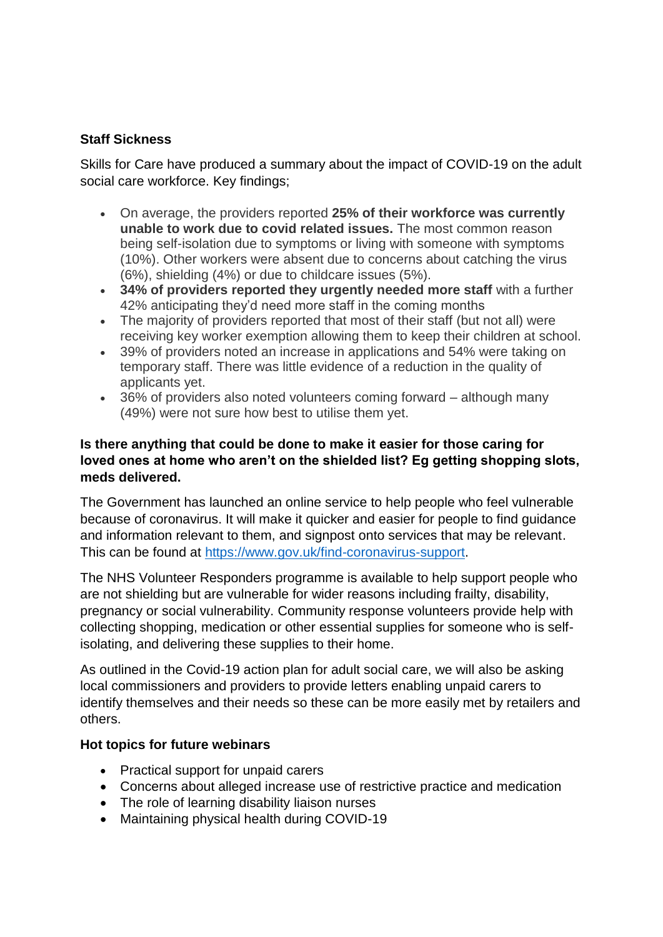# **Staff Sickness**

Skills for Care have produced a summary about the impact of COVID-19 on the adult social care workforce. Key findings;

- On average, the providers reported **25% of their workforce was currently unable to work due to covid related issues.** The most common reason being self-isolation due to symptoms or living with someone with symptoms (10%). Other workers were absent due to concerns about catching the virus (6%), shielding (4%) or due to childcare issues (5%).
- **34% of providers reported they urgently needed more staff** with a further 42% anticipating they'd need more staff in the coming months
- The majority of providers reported that most of their staff (but not all) were receiving key worker exemption allowing them to keep their children at school.
- 39% of providers noted an increase in applications and 54% were taking on temporary staff. There was little evidence of a reduction in the quality of applicants yet.
- 36% of providers also noted volunteers coming forward although many (49%) were not sure how best to utilise them yet.

### **Is there anything that could be done to make it easier for those caring for loved ones at home who aren't on the shielded list? Eg getting shopping slots, meds delivered.**

The Government has launched an online service to help people who feel vulnerable because of coronavirus. It will make it quicker and easier for people to find guidance and information relevant to them, and signpost onto services that may be relevant. This can be found at [https://www.gov.uk/find-coronavirus-support.](https://www.gov.uk/find-coronavirus-support)

The NHS Volunteer Responders programme is available to help support people who are not shielding but are vulnerable for wider reasons including frailty, disability, pregnancy or social vulnerability. Community response volunteers provide help with collecting shopping, medication or other essential supplies for someone who is selfisolating, and delivering these supplies to their home.

As outlined in the Covid-19 action plan for adult social care, we will also be asking local commissioners and providers to provide letters enabling unpaid carers to identify themselves and their needs so these can be more easily met by retailers and others.

# **Hot topics for future webinars**

- Practical support for unpaid carers
- Concerns about alleged increase use of restrictive practice and medication
- The role of learning disability liaison nurses
- Maintaining physical health during COVID-19